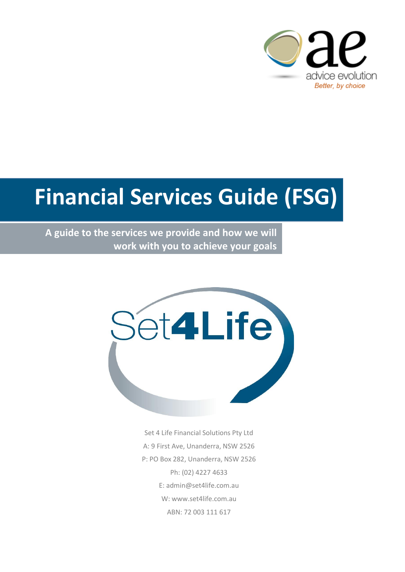

# **Financial Services Guide (FSG)**

**A guide to the services we provide and how we will work with you to achieve your goals**



Set 4 Life Financial Solutions Pty Ltd A: 9 First Ave, Unanderra, NSW 2526 P: PO Box 282, Unanderra, NSW 2526 Ph: (02) 4227 4633 E: admin@set4life.com.au W: www.set4life.com.au ABN: 72 003 111 617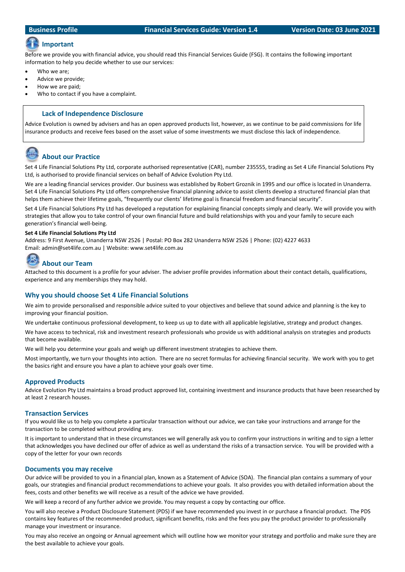### **Important**

Before we provide you with financial advice, you should read this Financial Services Guide (FSG). It contains the following important information to help you decide whether to use our services:

- Who we are:
- Advice we provide;
- How we are paid;
- Who to contact if you have a complaint.

#### **Lack of Independence Disclosure**

Advice Evolution is owned by advisers and has an open approved products list, however, as we continue to be paid commissions for life insurance products and receive fees based on the asset value of some investments we must disclose this lack of independence.

### **About our Practice**

Set 4 Life Financial Solutions Pty Ltd, corporate authorised representative (CAR), number 235555, trading as Set 4 Life Financial Solutions Pty Ltd, is authorised to provide financial services on behalf of Advice Evolution Pty Ltd.

We are a leading financial services provider. Our business was established by Robert Groznik in 1995 and our office is located in Unanderra. Set 4 Life Financial Solutions Pty Ltd offers comprehensive financial planning advice to assist clients develop a structured financial plan that helps them achieve their lifetime goals, "frequently our clients' lifetime goal is financial freedom and financial security".

Set 4 Life Financial Solutions Pty Ltd has developed a reputation for explaining financial concepts simply and clearly. We will provide you with strategies that allow you to take control of your own financial future and build relationships with you and your family to secure each generation's financial well-being.

#### **Set 4 Life Financial Solutions Pty Ltd**

Address: 9 First Avenue, Unanderra NSW 2526 | Postal: PO Box 282 Unanderra NSW 2526 | Phone: (02) 4227 4633 Email: admin@set4life.com.au | Website: www.set4life.com.au

## **About our Team**

Attached to this document is a profile for your adviser. The adviser profile provides information about their contact details, qualifications, experience and any memberships they may hold.

#### **Why you should choose Set 4 Life Financial Solutions**

We aim to provide personalised and responsible advice suited to your objectives and believe that sound advice and planning is the key to improving your financial position.

We undertake continuous professional development, to keep us up to date with all applicable legislative, strategy and product changes.

We have access to technical, risk and investment research professionals who provide us with additional analysis on strategies and products that become available.

We will help you determine your goals and weigh up different investment strategies to achieve them.

Most importantly, we turn your thoughts into action. There are no secret formulas for achieving financial security. We work with you to get the basics right and ensure you have a plan to achieve your goals over time.

#### **Approved Products**

Advice Evolution Pty Ltd maintains a broad product approved list, containing investment and insurance products that have been researched by at least 2 research houses.

#### **Transaction Services**

If you would like us to help you complete a particular transaction without our advice, we can take your instructions and arrange for the transaction to be completed without providing any.

It is important to understand that in these circumstances we will generally ask you to confirm your instructions in writing and to sign a letter that acknowledges you have declined our offer of advice as well as understand the risks of a transaction service. You will be provided with a copy of the letter for your own records

#### **Documents you may receive**

Our advice will be provided to you in a financial plan, known as a Statement of Advice (SOA). The financial plan contains a summary of your goals, our strategies and financial product recommendations to achieve your goals. It also provides you with detailed information about the fees, costs and other benefits we will receive as a result of the advice we have provided.

We will keep a record of any further advice we provide. You may request a copy by contacting our office.

You will also receive a Product Disclosure Statement (PDS) if we have recommended you invest in or purchase a financial product. The PDS contains key features of the recommended product, significant benefits, risks and the fees you pay the product provider to professionally manage your investment or insurance.

You may also receive an ongoing or Annual agreement which will outline how we monitor your strategy and portfolio and make sure they are the best available to achieve your goals.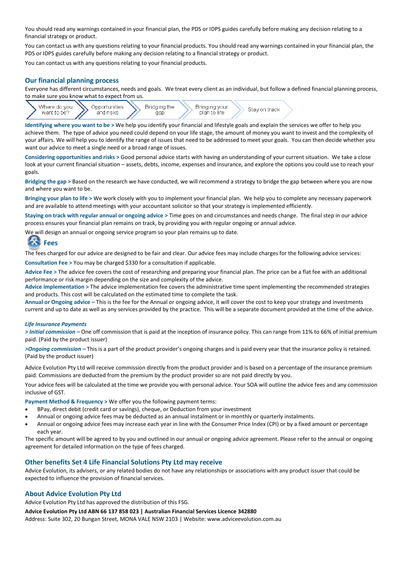You should read any warnings contained in your financial plan, the PDS or IDPS guides carefully before making any decision relating to a financial strategy or product.

You can contact us with any questions relating to your financial products. You should read any warnings contained in your financial plan, the PDS or IDPS guides carefully before making any decision relating to a financial strategy or product.

You can contact us with any questions relating to your financial products.

#### **Our financial planning process**

Everyone has different circumstances, needs and goals. We treat every client as an individual, but follow a defined financial planning process, to make sure you know what to expect from us.



**Identifying where you want to be >** We help you identify your financial and lifestyle goals and explain the services we offer to help you achieve them. The type of advice you need could depend on your life stage, the amount of money you want to invest and the complexity of your affairs. We will help you to identify the range of issues that need to be addressed to meet your goals. You can then decide whether you want our advice to meet a single need or a broad range of issues.

**Considering opportunities and risks >** Good personal advice starts with having an understanding of your current situation. We take a close look at your current financial situation – assets, debts, income, expenses and insurance, and explore the options you could use to reach your goals.

**Bridging the gap >** Based on the research we have conducted, we will recommend a strategy to bridge the gap between where you are now and where you want to be.

**Bringing your plan to life >** We work closely with you to implement your financial plan. We help you to complete any necessary paperwork and are available to attend meetings with your accountant solicitor so that your strategy is implemented efficiently.

**Staying on track with regular annual or ongoing advice >** Time goes on and circumstances and needs change. The final step in our advice process ensures your financial plan remains on track, by providing you with regular ongoing or annual advice.

We will design an annual or ongoing service program so your plan remains up to date.

# **Fees**

The fees charged for our advice are designed to be fair and clear. Our advice fees may include charges for the following advice services:

**Consultation Fee >** You may be charged \$330 for a consultation if applicable.

**Advice Fee >** The advice fee covers the cost of researching and preparing your financial plan. The price can be a flat fee with an additional performance or risk margin depending on the size and complexity of the advice.

**Advice implementation >** The advice implementation fee covers the administrative time spent implementing the recommended strategies and products. This cost will be calculated on the estimated time to complete the task.

**Annual or Ongoing advice –** This is the fee for the Annual or ongoing advice, it will cover the cost to keep your strategy and investments current and up to date as well as any services provided by the practice. This will be a separate document provided at the time of the advice.

#### *Life Insurance Payments*

*> Initial commission –* One off commission that is paid at the inception of insurance policy. This can range from 11% to 66% of initial premium paid. (Paid by the product issuer)

*>Ongoing commission –* This is a part of the product provider's ongoing charges and is paid every year that the insurance policy is retained. (Paid by the product issuer)

Advice Evolution Pty Ltd will receive commission directly from the product provider and is based on a percentage of the insurance premium paid. Commissions are deducted from the premium by the product provider so are not paid directly by you.

Your advice fees will be calculated at the time we provide you with personal advice. Your SOA will outline the advice fees and any commission inclusive of GST.

**Payment Method & Frequency >** We offer you the following payment terms:

- BPay, direct debit (credit card or savings), cheque, or Deduction from your investment
- Annual or ongoing advice fees may be deducted as an annual instalment or in monthly or quarterly instalments.
- Annual or ongoing advice fees may increase each year in line with the Consumer Price Index (CPI) or by a fixed amount or percentage each year.

The specific amount will be agreed to by you and outlined in our annual or ongoing advice agreement. Please refer to the annual or ongoing agreement for detailed information on the type of fees charged.

#### **Other benefits Set 4 Life Financial Solutions Pty Ltd may receive**

Advice Evolution, its advisers, or any related bodies do not have any relationships or associations with any product issuer that could be expected to influence the provision of financial services.

#### **About Advice Evolution Pty Ltd**

Advice Evolution Pty Ltd has approved the distribution of this FSG.

#### **Advice Evolution Pty Ltd ABN 66 137 858 023 | Australian Financial Services Licence 342880**

Address: Suite 302, 20 Bungan Street, MONA VALE NSW 2103 | Website: www.adviceevolution.com.au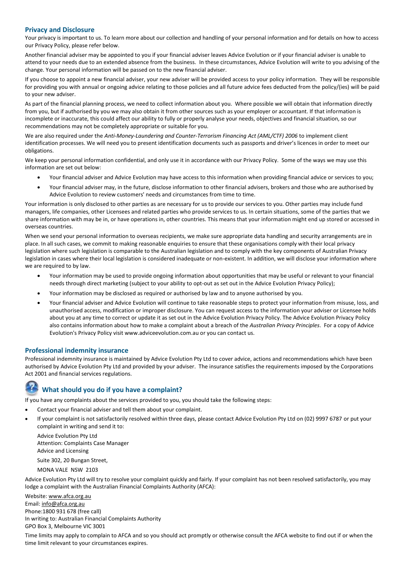#### **Privacy and Disclosure**

Your privacy is important to us. To learn more about our collection and handling of your personal information and for details on how to access our Privacy Policy, please refer below.

Another financial adviser may be appointed to you if your financial adviser leaves Advice Evolution or if your financial adviser is unable to attend to your needs due to an extended absence from the business. In these circumstances, Advice Evolution will write to you advising of the change. Your personal information will be passed on to the new financial adviser.

If you choose to appoint a new financial adviser, your new adviser will be provided access to your policy information. They will be responsible for providing you with annual or ongoing advice relating to those policies and all future advice fees deducted from the policy/(ies) will be paid to your new adviser.

As part of the financial planning process, we need to collect information about you. Where possible we will obtain that information directly from you, but if authorised by you we may also obtain it from other sources such as your employer or accountant. If that information is incomplete or inaccurate, this could affect our ability to fully or properly analyse your needs, objectives and financial situation, so our recommendations may not be completely appropriate or suitable for you.

We are also required under the *Anti-Money-Laundering and Counter-Terrorism Financing Act (AML/CTF) 2006* to implement client identification processes. We will need you to present identification documents such as passports and driver's licences in order to meet our obligations.

We keep your personal information confidential, and only use it in accordance with our Privacy Policy. Some of the ways we may use this information are set out below:

- Your financial adviser and Advice Evolution may have access to this information when providing financial advice or services to you;
- Your financial adviser may, in the future, disclose information to other financial advisers, brokers and those who are authorised by Advice Evolution to review customers' needs and circumstances from time to time.

Your information is only disclosed to other parties as are necessary for us to provide our services to you. Other parties may include fund managers, life companies, other Licensees and related parties who provide services to us. In certain situations, some of the parties that we share information with may be in, or have operations in, other countries. This means that your information might end up stored or accessed in overseas countries.

When we send your personal information to overseas recipients, we make sure appropriate data handling and security arrangements are in place. In all such cases, we commit to making reasonable enquiries to ensure that these organisations comply with their local privacy legislation where such legislation is comparable to the Australian legislation and to comply with the key components of Australian Privacy legislation in cases where their local legislation is considered inadequate or non-existent. In addition, we will disclose your information where we are required to by law.

- Your information may be used to provide ongoing information about opportunities that may be useful or relevant to your financial needs through direct marketing (subject to your ability to opt-out as set out in the Advice Evolution Privacy Policy);
- Your information may be disclosed as required or authorised by law and to anyone authorised by you.
- Your financial adviser and Advice Evolution will continue to take reasonable steps to protect your information from misuse, loss, and unauthorised access, modification or improper disclosure. You can request access to the information your adviser or Licensee holds about you at any time to correct or update it as set out in the Advice Evolution Privacy Policy. The Advice Evolution Privacy Policy also contains information about how to make a complaint about a breach of the *Australian Privacy Principles*. For a copy of Advice Evolution's Privacy Policy visit www.adviceevolution.com.au or you can contact us.

#### **Professional indemnity insurance**

Professional indemnity insurance is maintained by Advice Evolution Pty Ltd to cover advice, actions and recommendations which have been authorised by Advice Evolution Pty Ltd and provided by your adviser. The insurance satisfies the requirements imposed by the Corporations Act 2001 and financial services regulations.

### **What should you do if you have a complaint?**

If you have any complaints about the services provided to you, you should take the following steps:

- Contact your financial adviser and tell them about your complaint.
- If your complaint is not satisfactorily resolved within three days, please contact Advice Evolution Pty Ltd on (02) 9997 6787 or put your complaint in writing and send it to:

Advice Evolution Pty Ltd Attention: Complaints Case Manager Advice and Licensing

Suite 302, 20 Bungan Street,

MONA VALE NSW 2103

Advice Evolution Pty Ltd will try to resolve your complaint quickly and fairly. If your complaint has not been resolved satisfactorily, you may lodge a complaint with the Australian Financial Complaints Authority (AFCA):

Website[: www.afca.org.au](http://www.afca.org.au/) Email: [info@afca.org.au](mailto:info@afca.org.au) Phone:1800 931 678 (free call) In writing to: Australian Financial Complaints Authority GPO Box 3, Melbourne VIC 3001

Time limits may apply to complain to AFCA and so you should act promptly or otherwise consult the AFCA website to find out if or when the time limit relevant to your circumstances expires.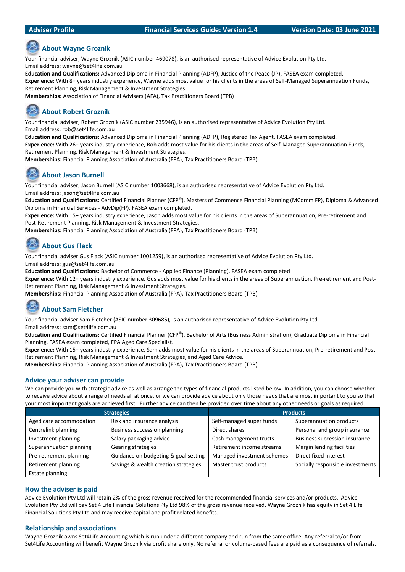#### **Adviser Profile Financial Services Guide: Version 1.4 Version Date: 03 June 2021**

# **About Wayne Groznik**

Your financial adviser, Wayne Groznik (ASIC number 469078), is an authorised representative of Advice Evolution Pty Ltd. Email address: wayne@set4life.com.au

**Education and Qualifications:** Advanced Diploma in Financial Planning (ADFP), Justice of the Peace (JP), FASEA exam completed.

**Experience:** With 8+ years industry experience, Wayne adds most value for his clients in the areas of Self-Managed Superannuation Funds, Retirement Planning, Risk Management & Investment Strategies.

**Memberships:** Association of Financial Advisers (AFA), Tax Practitioners Board (TPB)

# **About Robert Groznik**

Your financial adviser, Robert Groznik (ASIC number 235946), is an authorised representative of Advice Evolution Pty Ltd. Email address: rob@set4life.com.au

**Education and Qualifications:** Advanced Diploma in Financial Planning (ADFP), Registered Tax Agent, FASEA exam completed. **Experience:** With 26+ years industry experience, Rob adds most value for his clients in the areas of Self-Managed Superannuation Funds, Retirement Planning, Risk Management & Investment Strategies.

**Memberships:** Financial Planning Association of Australia (FPA), Tax Practitioners Board (TPB)

# **About Jason Burnell**

Your financial adviser, Jason Burnell (ASIC number 1003668), is an authorised representative of Advice Evolution Pty Ltd. Email address: jason@set4life.com.au

**Education and Qualifications:** Certified Financial Planner (CFP®), Masters of Commence Financial Planning (MComm FP), Diploma & Advanced Diploma in Financial Services - AdvDip(FP), FASEA exam completed.

**Experience:** With 15+ years industry experience, Jason adds most value for his clients in the areas of Superannuation, Pre-retirement and Post-Retirement Planning, Risk Management & Investment Strategies.

**Memberships:** Financial Planning Association of Australia (FPA), Tax Practitioners Board (TPB)

# **About Gus Flack**

Your financial adviser Gus Flack (ASIC number 1001259), is an authorised representative of Advice Evolution Pty Ltd.

Email address: gus@set4life.com.au

**Education and Qualifications:** Bachelor of Commerce - Applied Finance (Planning), FASEA exam completed

**Experience:** With 12+ years industry experience, Gus adds most value for his clients in the areas of Superannuation, Pre-retirement and Post-Retirement Planning, Risk Management & Investment Strategies.

**Memberships:** Financial Planning Association of Australia (FPA)**,** Tax Practitioners Board (TPB)

# **About Sam Fletcher**

Your financial adviser Sam Fletcher (ASIC number 309685), is an authorised representative of Advice Evolution Pty Ltd. Email address: sam@set4life.com.au

**Education and Qualifications:** Certified Financial Planner (CFP®), Bachelor of Arts (Business Administration), Graduate Diploma in Financial Planning, FASEA exam completed, FPA Aged Care Specialist.

**Experience:** With 15+ years industry experience, Sam adds most value for his clients in the areas of Superannuation, Pre-retirement and Post-Retirement Planning, Risk Management & Investment Strategies, and Aged Care Advice.

**Memberships:** Financial Planning Association of Australia (FPA)**,** Tax Practitioners Board (TPB)

### **Advice your adviser can provide**

We can provide you with strategic advice as well as arrange the types of financial products listed below. In addition, you can choose whether to receive advice about a range of needs all at once, or we can provide advice about only those needs that are most important to you so that your most important goals are achieved first. Further advice can then be provided over time about any other needs or goals as required.

| <b>Strategies</b>       |                                      | <b>Products</b>            |                                      |
|-------------------------|--------------------------------------|----------------------------|--------------------------------------|
| Aged care accommodation | Risk and insurance analysis          | Self-managed super funds   | Superannuation products              |
| Centrelink planning     | <b>Business succession planning</b>  | Direct shares              | Personal and group insurance         |
| Investment planning     | Salary packaging advice              | Cash management trusts     | <b>Business succession insurance</b> |
| Superannuation planning | Gearing strategies                   | Retirement income streams  | Margin lending facilities            |
| Pre-retirement planning | Guidance on budgeting & goal setting | Managed investment schemes | Direct fixed interest                |
| Retirement planning     | Savings & wealth creation strategies | Master trust products      | Socially responsible investments     |
| Estate planning         |                                      |                            |                                      |

### **How the adviser is paid**

Advice Evolution Pty Ltd will retain 2% of the gross revenue received for the recommended financial services and/or products. Advice Evolution Pty Ltd will pay Set 4 Life Financial Solutions Pty Ltd 98% of the gross revenue received. Wayne Groznik has equity in Set 4 Life Financial Solutions Pty Ltd and may receive capital and profit related benefits.

### **Relationship and associations**

Wayne Groznik owns Set4Life Accounting which is run under a different company and run from the same office. Any referral to/or from Set4Life Accounting will benefit Wayne Groznik via profit share only. No referral or volume-based fees are paid as a consequence of referrals.